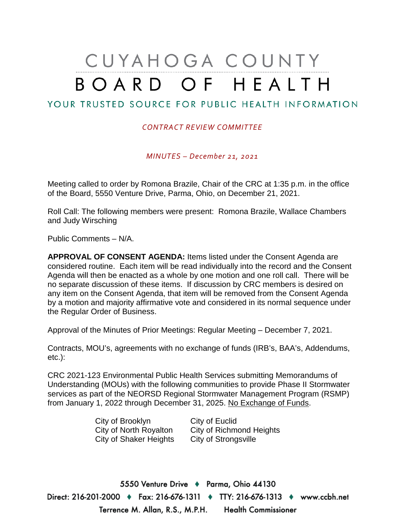# CUYAHOGA COUNTY BOARD OF HEALTH

## YOUR TRUSTED SOURCE FOR PUBLIC HEALTH INFORMATION

#### *CONTRACT REVIEW COMMITTEE*

*MINUTES – December 21, 2021*

Meeting called to order by Romona Brazile, Chair of the CRC at 1:35 p.m. in the office of the Board, 5550 Venture Drive, Parma, Ohio, on December 21, 2021.

Roll Call: The following members were present: Romona Brazile, Wallace Chambers and Judy Wirsching

Public Comments – N/A.

**APPROVAL OF CONSENT AGENDA:** Items listed under the Consent Agenda are considered routine. Each item will be read individually into the record and the Consent Agenda will then be enacted as a whole by one motion and one roll call. There will be no separate discussion of these items. If discussion by CRC members is desired on any item on the Consent Agenda, that item will be removed from the Consent Agenda by a motion and majority affirmative vote and considered in its normal sequence under the Regular Order of Business.

Approval of the Minutes of Prior Meetings: Regular Meeting – December 7, 2021.

Contracts, MOU's, agreements with no exchange of funds (IRB's, BAA's, Addendums, etc.):

CRC 2021-123 Environmental Public Health Services submitting Memorandums of Understanding (MOUs) with the following communities to provide Phase II Stormwater services as part of the NEORSD Regional Stormwater Management Program (RSMP) from January 1, 2022 through December 31, 2025. No Exchange of Funds.

> City of Brooklyn City of Euclid City of Shaker Heights City of Strongsville

City of North Royalton City of Richmond Heights

5550 Venture Drive + Parma, Ohio 44130 Direct: 216-201-2000 ♦ Fax: 216-676-1311 ♦ TTY: 216-676-1313 ♦ www.ccbh.net Terrence M. Allan, R.S., M.P.H. Health Commissioner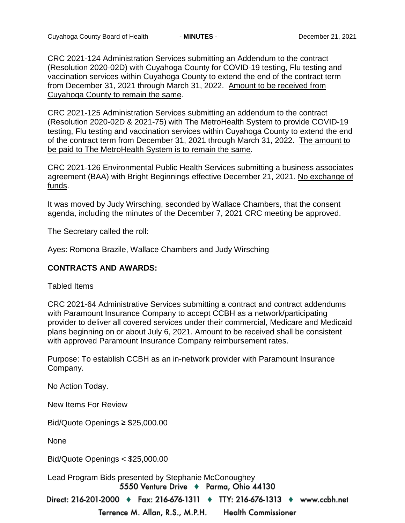CRC 2021-124 Administration Services submitting an Addendum to the contract (Resolution 2020-02D) with Cuyahoga County for COVID-19 testing, Flu testing and vaccination services within Cuyahoga County to extend the end of the contract term from December 31, 2021 through March 31, 2022. Amount to be received from Cuyahoga County to remain the same.

CRC 2021-125 Administration Services submitting an addendum to the contract (Resolution 2020-02D & 2021-75) with The MetroHealth System to provide COVID-19 testing, Flu testing and vaccination services within Cuyahoga County to extend the end of the contract term from December 31, 2021 through March 31, 2022. The amount to be paid to The MetroHealth System is to remain the same.

CRC 2021-126 Environmental Public Health Services submitting a business associates agreement (BAA) with Bright Beginnings effective December 21, 2021. No exchange of funds.

It was moved by Judy Wirsching, seconded by Wallace Chambers, that the consent agenda, including the minutes of the December 7, 2021 CRC meeting be approved.

The Secretary called the roll:

Ayes: Romona Brazile, Wallace Chambers and Judy Wirsching

#### **CONTRACTS AND AWARDS:**

Tabled Items

CRC 2021-64 Administrative Services submitting a contract and contract addendums with Paramount Insurance Company to accept CCBH as a network/participating provider to deliver all covered services under their commercial, Medicare and Medicaid plans beginning on or about July 6, 2021. Amount to be received shall be consistent with approved Paramount Insurance Company reimbursement rates.

Purpose: To establish CCBH as an in-network provider with Paramount Insurance Company.

No Action Today.

New Items For Review

Bid/Quote Openings ≥ \$25,000.00

None

Bid/Quote Openings < \$25,000.00

Lead Program Bids presented by Stephanie McConoughey5550 Venture Drive + Parma, Ohio 44130

Direct: 216-201-2000 • Fax: 216-676-1311 • TTY: 216-676-1313 • www.ccbh.net

Terrence M. Allan, R.S., M.P.H. **Health Commissioner**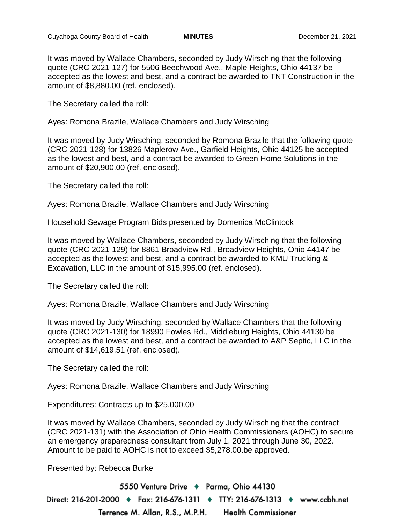It was moved by Wallace Chambers, seconded by Judy Wirsching that the following quote (CRC 2021-127) for 5506 Beechwood Ave., Maple Heights, Ohio 44137 be accepted as the lowest and best, and a contract be awarded to TNT Construction in the amount of \$8,880.00 (ref. enclosed).

The Secretary called the roll:

Ayes: Romona Brazile, Wallace Chambers and Judy Wirsching

It was moved by Judy Wirsching, seconded by Romona Brazile that the following quote (CRC 2021-128) for 13826 Maplerow Ave., Garfield Heights, Ohio 44125 be accepted as the lowest and best, and a contract be awarded to Green Home Solutions in the amount of \$20,900.00 (ref. enclosed).

The Secretary called the roll:

Ayes: Romona Brazile, Wallace Chambers and Judy Wirsching

Household Sewage Program Bids presented by Domenica McClintock

It was moved by Wallace Chambers, seconded by Judy Wirsching that the following quote (CRC 2021-129) for 8861 Broadview Rd., Broadview Heights, Ohio 44147 be accepted as the lowest and best, and a contract be awarded to KMU Trucking & Excavation, LLC in the amount of \$15,995.00 (ref. enclosed).

The Secretary called the roll:

Ayes: Romona Brazile, Wallace Chambers and Judy Wirsching

It was moved by Judy Wirsching, seconded by Wallace Chambers that the following quote (CRC 2021-130) for 18990 Fowles Rd., Middleburg Heights, Ohio 44130 be accepted as the lowest and best, and a contract be awarded to A&P Septic, LLC in the amount of \$14,619.51 (ref. enclosed).

The Secretary called the roll:

Ayes: Romona Brazile, Wallace Chambers and Judy Wirsching

Expenditures: Contracts up to \$25,000.00

It was moved by Wallace Chambers, seconded by Judy Wirsching that the contract (CRC 2021-131) with the Association of Ohio Health Commissioners (AOHC) to secure an emergency preparedness consultant from July 1, 2021 through June 30, 2022. Amount to be paid to AOHC is not to exceed \$5,278.00.be approved.

Presented by: Rebecca Burke

5550 Venture Drive + Parma, Ohio 44130 Direct: 216-201-2000 ♦ Fax: 216-676-1311 ♦ TTY: 216-676-1313 ♦ www.ccbh.net Terrence M. Allan, R.S., M.P.H. **Health Commissioner**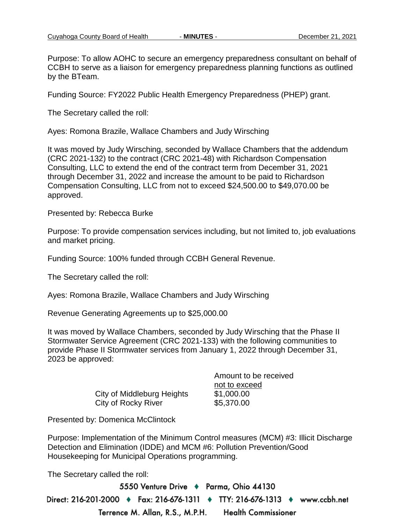Purpose: To allow AOHC to secure an emergency preparedness consultant on behalf of CCBH to serve as a liaison for emergency preparedness planning functions as outlined by the BTeam.

Funding Source: FY2022 Public Health Emergency Preparedness (PHEP) grant.

The Secretary called the roll:

Ayes: Romona Brazile, Wallace Chambers and Judy Wirsching

It was moved by Judy Wirsching, seconded by Wallace Chambers that the addendum (CRC 2021-132) to the contract (CRC 2021-48) with Richardson Compensation Consulting, LLC to extend the end of the contract term from December 31, 2021 through December 31, 2022 and increase the amount to be paid to Richardson Compensation Consulting, LLC from not to exceed \$24,500.00 to \$49,070.00 be approved.

Presented by: Rebecca Burke

Purpose: To provide compensation services including, but not limited to, job evaluations and market pricing.

Funding Source: 100% funded through CCBH General Revenue.

The Secretary called the roll:

Ayes: Romona Brazile, Wallace Chambers and Judy Wirsching

Revenue Generating Agreements up to \$25,000.00

It was moved by Wallace Chambers, seconded by Judy Wirsching that the Phase II Stormwater Service Agreement (CRC 2021-133) with the following communities to provide Phase II Stormwater services from January 1, 2022 through December 31, 2023 be approved:

|                            | Amount to be received       |
|----------------------------|-----------------------------|
| City of Middleburg Heights | not to exceed<br>\$1,000.00 |
| City of Rocky River        | \$5,370.00                  |

Presented by: Domenica McClintock

Purpose: Implementation of the Minimum Control measures (MCM) #3: Illicit Discharge Detection and Elimination (IDDE) and MCM #6: Pollution Prevention/Good Housekeeping for Municipal Operations programming.

The Secretary called the roll:

5550 Venture Drive + Parma, Ohio 44130 Direct: 216-201-2000 ♦ Fax: 216-676-1311 ♦ TTY: 216-676-1313 ♦ www.ccbh.net Terrence M. Allan, R.S., M.P.H. **Health Commissioner**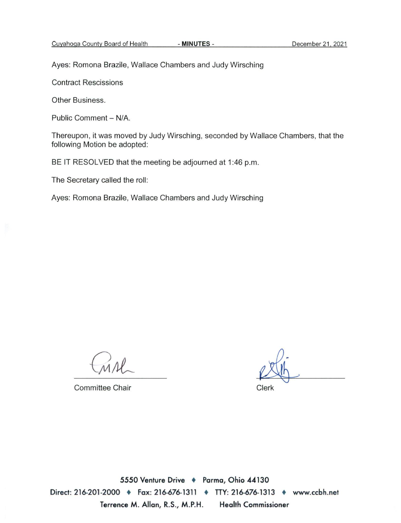Ayes: Romona Brazile, Wallace Chambers and Judy Wirsching

**Contract Rescissions** 

Other Business.

Public Comment - N/A.

Thereupon, it was moved by Judy Wirsching, seconded by Wallace Chambers, that the following Motion be adopted:

BE IT RESOLVED that the meeting be adjourned at 1:46 p.m.

The Secretary called the roll:

Ayes: Romona Brazile, Wallace Chambers and Judy Wirsching

**Committee Chair** 

Clerk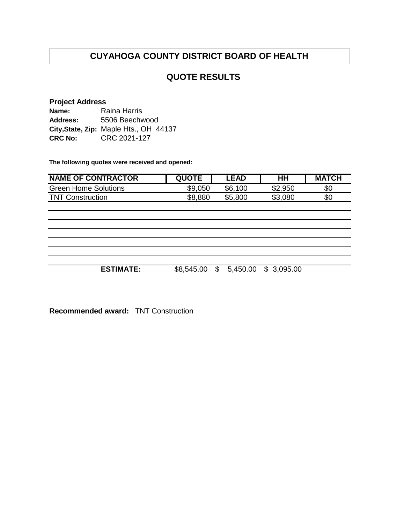## **QUOTE RESULTS**

#### **Project Address**

| Name:          | Raina Harris                           |
|----------------|----------------------------------------|
| Address:       | 5506 Beechwood                         |
|                | City, State, Zip: Maple Hts., OH 44137 |
| <b>CRC No:</b> | CRC 2021-127                           |

**The following quotes were received and opened:**

| <b>NAME OF CONTRACTOR</b>   | <b>QUOTE</b> | <b>LEAD</b> | HН      | <b>MATCH</b> |
|-----------------------------|--------------|-------------|---------|--------------|
| <b>Green Home Solutions</b> | \$9,050      | \$6,100     | \$2,950 | \$0          |
| <b>TNT Construction</b>     | \$8,880      | \$5,800     | \$3,080 | \$0          |
|                             |              |             |         |              |
|                             |              |             |         |              |
|                             |              |             |         |              |
|                             |              |             |         |              |
|                             |              |             |         |              |
|                             |              |             |         |              |

**ESTIMATE:** \$8,545.00 \$ 5,450.00 \$ 3,095.00

**Recommended award:** TNT Construction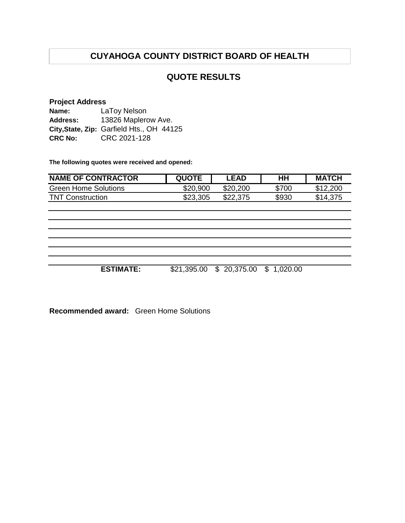### **QUOTE RESULTS**

#### **Project Address**

| Name:          | LaToy Nelson                              |
|----------------|-------------------------------------------|
| Address:       | 13826 Maplerow Ave.                       |
|                | City, State, Zip: Garfield Hts., OH 44125 |
| <b>CRC No:</b> | CRC 2021-128                              |

**The following quotes were received and opened:**

| <b>NAME OF CONTRACTOR</b> | <b>QUOTE</b> | ∟EAD     | нн    | <b>MATCH</b> |
|---------------------------|--------------|----------|-------|--------------|
| Green Home Solutions      | \$20,900     | \$20,200 | \$700 | \$12,200     |
| <b>TNT Construction</b>   | \$23,305     | \$22,375 | \$930 | \$14,375     |

**ESTIMATE:** \$21,395.00 \$ 20,375.00 \$ 1,020.00

| <b>Recommended award:</b> Green Home Solutions |  |
|------------------------------------------------|--|
|------------------------------------------------|--|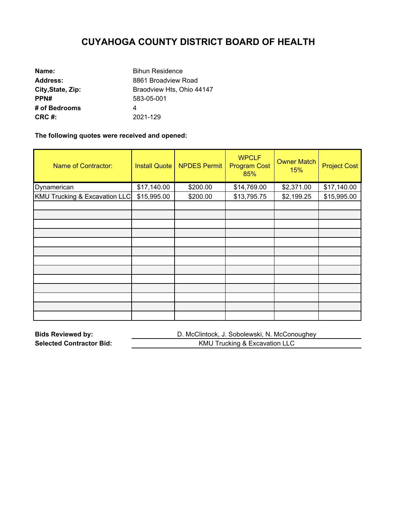| Name:             | <b>Bihun Residence</b>    |
|-------------------|---------------------------|
| <b>Address:</b>   | 8861 Broadview Road       |
| City, State, Zip: | Braodview Hts, Ohio 44147 |
| PPN#              | 583-05-001                |
| # of Bedrooms     | 4                         |
| CRC #:            | 2021-129                  |

**The following quotes were received and opened:** 

| <b>Name of Contractor:</b>               | <b>Install Quote</b> | <b>NPDES Permit</b> | <b>WPCLF</b><br><b>Program Cost</b><br>85% | <b>Owner Match</b><br>15% | <b>Project Cost</b> |
|------------------------------------------|----------------------|---------------------|--------------------------------------------|---------------------------|---------------------|
| Dynamerican                              | \$17,140.00          | \$200.00            | \$14,769.00                                | \$2,371.00                | \$17,140.00         |
| <b>KMU Trucking &amp; Excavation LLC</b> | \$15,995.00          | \$200.00            | \$13,795.75                                | \$2,199.25                | \$15,995.00         |
|                                          |                      |                     |                                            |                           |                     |
|                                          |                      |                     |                                            |                           |                     |
|                                          |                      |                     |                                            |                           |                     |
|                                          |                      |                     |                                            |                           |                     |
|                                          |                      |                     |                                            |                           |                     |
|                                          |                      |                     |                                            |                           |                     |
|                                          |                      |                     |                                            |                           |                     |
|                                          |                      |                     |                                            |                           |                     |
|                                          |                      |                     |                                            |                           |                     |
|                                          |                      |                     |                                            |                           |                     |
|                                          |                      |                     |                                            |                           |                     |
|                                          |                      |                     |                                            |                           |                     |
|                                          |                      |                     |                                            |                           |                     |

| <b>Bids Reviewed by:</b>        | D. McClintock, J. Sobolewski, N. McConoughey |
|---------------------------------|----------------------------------------------|
| <b>Selected Contractor Bid:</b> | KMU Trucking & Excavation LLC                |